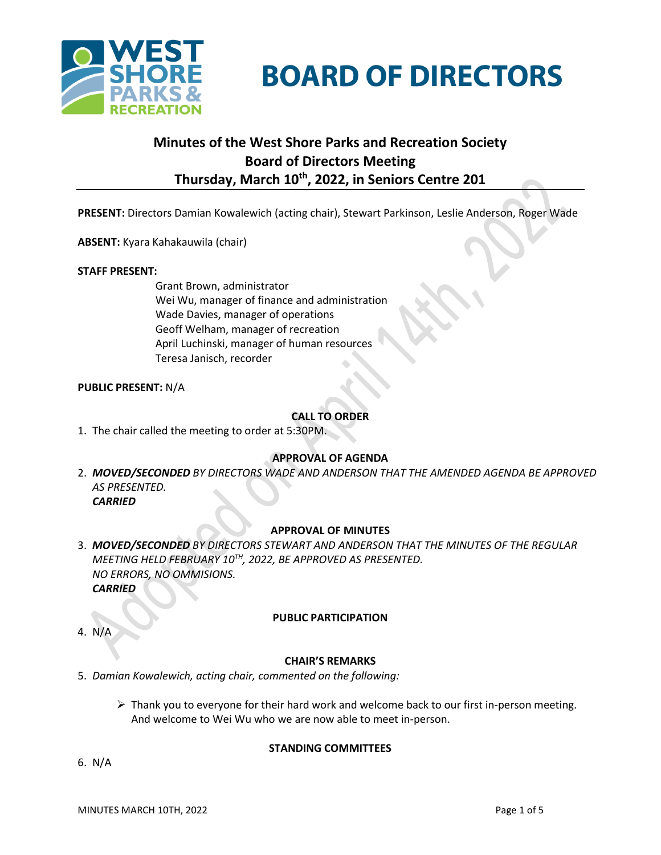



# **Minutes of the West Shore Parks and Recreation Society Board of Directors Meeting Thursday, March 10 th , 2022, in Seniors Centre 201**

**PRESENT:** Directors Damian Kowalewich (acting chair), Stewart Parkinson, Leslie Anderson, Roger Wade

**ABSENT:** Kyara Kahakauwila (chair)

#### **STAFF PRESENT:**

Grant Brown, administrator Wei Wu, manager of finance and administration Wade Davies, manager of operations Geoff Welham, manager of recreation April Luchinski, manager of human resources Teresa Janisch, recorder

#### **PUBLIC PRESENT:** N/A

## **CALL TO ORDER**

1. The chair called the meeting to order at 5:30PM.

## **APPROVAL OF AGENDA**

2. *MOVED/SECONDED BY DIRECTORS WADE AND ANDERSON THAT THE AMENDED AGENDA BE APPROVED AS PRESENTED. CARRIED*

## **APPROVAL OF MINUTES**

3. *MOVED/SECONDED BY DIRECTORS STEWART AND ANDERSON THAT THE MINUTES OF THE REGULAR MEETING HELD FEBRUARY 10 TH, 2022, BE APPROVED AS PRESENTED. NO ERRORS, NO OMMISIONS. CARRIED*

#### **PUBLIC PARTICIPATION**

4. N/A

#### **CHAIR'S REMARKS**

- 5. *Damian Kowalewich, acting chair, commented on the following:*
	- $\triangleright$  Thank you to everyone for their hard work and welcome back to our first in-person meeting. And welcome to Wei Wu who we are now able to meet in-person.

## **STANDING COMMITTEES**

6. N/A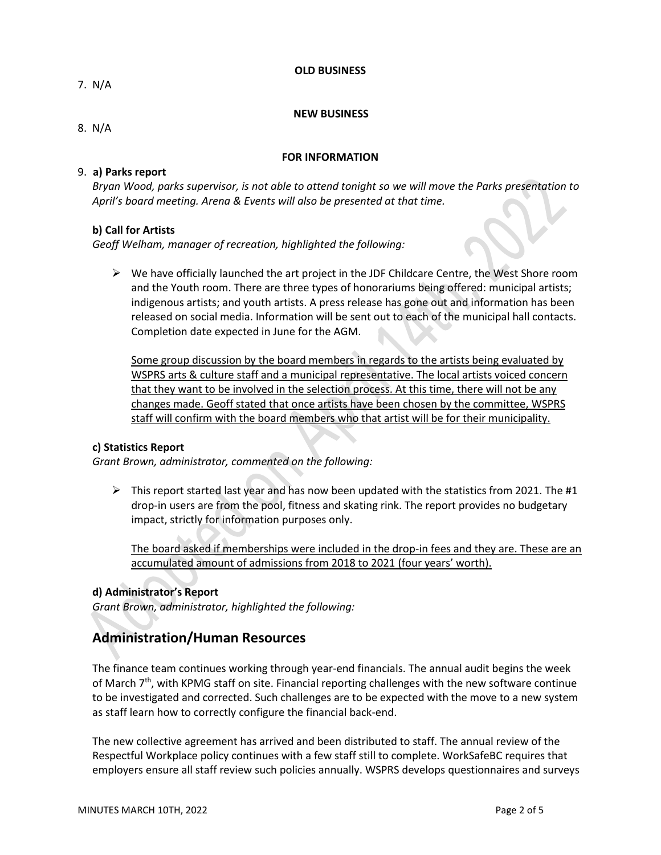#### **OLD BUSINESS**

7. N/A

#### **NEW BUSINESS**

8.N/A

### **FOR INFORMATION**

# 9. **a) Parks report**

*Bryan Wood, parks supervisor, is not able to attend tonight so we will move the Parks presentation to April's board meeting. Arena & Events will also be presented at that time.*

## **b) Call for Artists**

*Geoff Welham, manager of recreation, highlighted the following:*

 $\triangleright$  We have officially launched the art project in the JDF Childcare Centre, the West Shore room and the Youth room. There are three types of honorariums being offered: municipal artists; indigenous artists; and youth artists. A press release has gone out and information has been released on social media. Information will be sent out to each of the municipal hall contacts. Completion date expected in June for the AGM.

Some group discussion by the board members in regards to the artists being evaluated by WSPRS arts & culture staff and a municipal representative. The local artists voiced concern that they want to be involved in the selection process. At this time, there will not be any changes made. Geoff stated that once artists have been chosen by the committee, WSPRS staff will confirm with the board members who that artist will be for their municipality.

#### **c) Statistics Report**

*Grant Brown, administrator, commented on the following:*

 $\triangleright$  This report started last year and has now been updated with the statistics from 2021. The #1 drop-in users are from the pool, fitness and skating rink. The report provides no budgetary impact, strictly for information purposes only.

The board asked if memberships were included in the drop-in fees and they are. These are an accumulated amount of admissions from 2018 to 2021 (four years' worth).

## **d) Administrator's Report**

*Grant Brown, administrator, highlighted the following:*

# **Administration/Human Resources**

The finance team continues working through year-end financials. The annual audit begins the week of March 7<sup>th</sup>, with KPMG staff on site. Financial reporting challenges with the new software continue to be investigated and corrected. Such challenges are to be expected with the move to a new system as staff learn how to correctly configure the financial back-end.

The new collective agreement has arrived and been distributed to staff. The annual review of the Respectful Workplace policy continues with a few staff still to complete. WorkSafeBC requires that employers ensure all staff review such policies annually. WSPRS develops questionnaires and surveys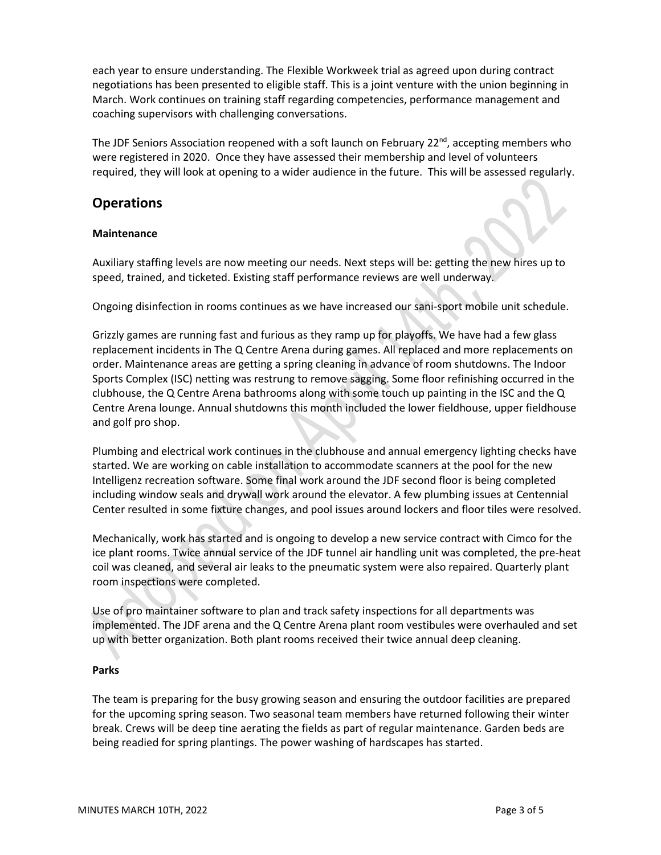each year to ensure understanding. The Flexible Workweek trial as agreed upon during contract negotiations has been presented to eligible staff. This is a joint venture with the union beginning in March. Work continues on training staff regarding competencies, performance management and coaching supervisors with challenging conversations.

The JDF Seniors Association reopened with a soft launch on February 22<sup>nd</sup>, accepting members who were registered in 2020. Once they have assessed their membership and level of volunteers required, they will look at opening to a wider audience in the future. This will be assessed regularly.

# **Operations**

## **Maintenance**

Auxiliary staffing levels are now meeting our needs. Next steps will be: getting the new hires up to speed, trained, and ticketed. Existing staff performance reviews are well underway.

Ongoing disinfection in rooms continues as we have increased our sani-sport mobile unit schedule.

Grizzly games are running fast and furious as they ramp up for playoffs. We have had a few glass replacement incidents in The Q Centre Arena during games. All replaced and more replacements on order. Maintenance areas are getting a spring cleaning in advance of room shutdowns. The Indoor Sports Complex (ISC) netting was restrung to remove sagging. Some floor refinishing occurred in the clubhouse, the Q Centre Arena bathrooms along with some touch up painting in the ISC and the Q Centre Arena lounge. Annual shutdowns this month included the lower fieldhouse, upper fieldhouse and golf pro shop.

Plumbing and electrical work continues in the clubhouse and annual emergency lighting checks have started. We are working on cable installation to accommodate scanners at the pool for the new Intelligenz recreation software. Some final work around the JDF second floor is being completed including window seals and drywall work around the elevator. A few plumbing issues at Centennial Center resulted in some fixture changes, and pool issues around lockers and floor tiles were resolved.

Mechanically, work has started and is ongoing to develop a new service contract with Cimco for the ice plant rooms. Twice annual service of the JDF tunnel air handling unit was completed, the pre-heat coil was cleaned, and several air leaks to the pneumatic system were also repaired. Quarterly plant room inspections were completed.

Use of pro maintainer software to plan and track safety inspections for all departments was implemented. The JDF arena and the Q Centre Arena plant room vestibules were overhauled and set up with better organization. Both plant rooms received their twice annual deep cleaning.

# **Parks**

The team is preparing for the busy growing season and ensuring the outdoor facilities are prepared for the upcoming spring season. Two seasonal team members have returned following their winter break. Crews will be deep tine aerating the fields as part of regular maintenance. Garden beds are being readied for spring plantings. The power washing of hardscapes has started.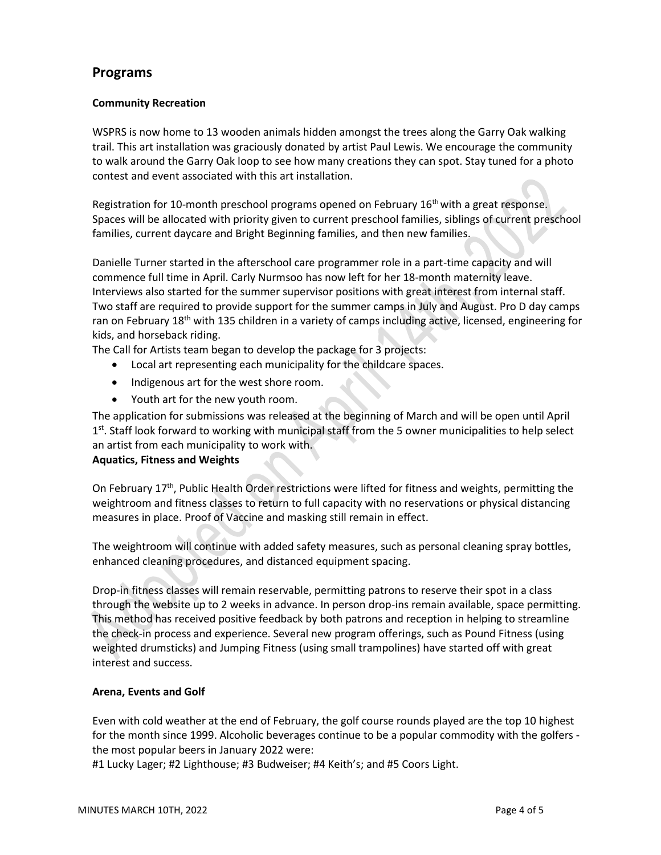# **Programs**

# **Community Recreation**

WSPRS is now home to 13 wooden animals hidden amongst the trees along the Garry Oak walking trail. This art installation was graciously donated by artist Paul Lewis. We encourage the community to walk around the Garry Oak loop to see how many creations they can spot. Stay tuned for a photo contest and event associated with this art installation.

Registration for 10-month preschool programs opened on February  $16<sup>th</sup>$  with a great response. Spaces will be allocated with priority given to current preschool families, siblings of current preschool families, current daycare and Bright Beginning families, and then new families.

Danielle Turner started in the afterschool care programmer role in a part-time capacity and will commence full time in April. Carly Nurmsoo has now left for her 18-month maternity leave. Interviews also started for the summer supervisor positions with great interest from internal staff. Two staff are required to provide support for the summer camps in July and August. Pro D day camps ran on February 18<sup>th</sup> with 135 children in a variety of camps including active, licensed, engineering for kids, and horseback riding.

The Call for Artists team began to develop the package for 3 projects:

- Local art representing each municipality for the childcare spaces.
- Indigenous art for the west shore room.
- Youth art for the new youth room.

The application for submissions was released at the beginning of March and will be open until April 1<sup>st</sup>. Staff look forward to working with municipal staff from the 5 owner municipalities to help select an artist from each municipality to work with.

## **Aquatics, Fitness and Weights**

On February 17<sup>th</sup>, Public Health Order restrictions were lifted for fitness and weights, permitting the weightroom and fitness classes to return to full capacity with no reservations or physical distancing measures in place. Proof of Vaccine and masking still remain in effect.

The weightroom will continue with added safety measures, such as personal cleaning spray bottles, enhanced cleaning procedures, and distanced equipment spacing.

Drop-in fitness classes will remain reservable, permitting patrons to reserve their spot in a class through the website up to 2 weeks in advance. In person drop-ins remain available, space permitting. This method has received positive feedback by both patrons and reception in helping to streamline the check-in process and experience. Several new program offerings, such as Pound Fitness (using weighted drumsticks) and Jumping Fitness (using small trampolines) have started off with great interest and success.

## **Arena, Events and Golf**

Even with cold weather at the end of February, the golf course rounds played are the top 10 highest for the month since 1999. Alcoholic beverages continue to be a popular commodity with the golfers the most popular beers in January 2022 were:

#1 Lucky Lager; #2 Lighthouse; #3 Budweiser; #4 Keith's; and #5 Coors Light.